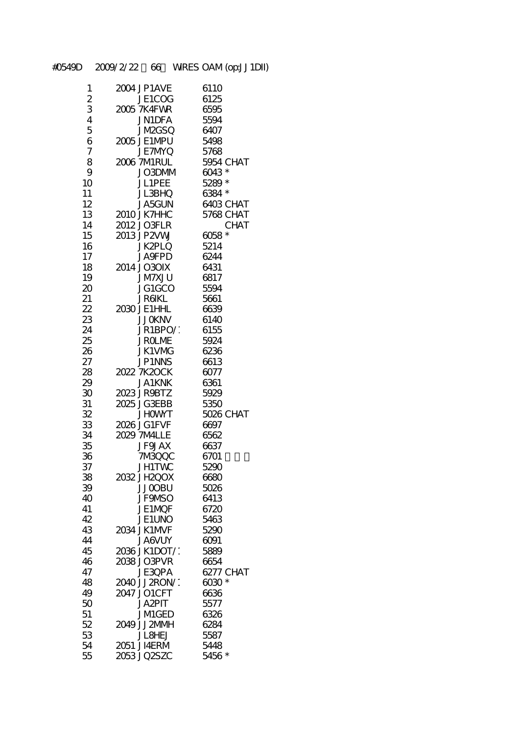| 1              | 2004 JP1AVE       | 6110             |
|----------------|-------------------|------------------|
|                |                   |                  |
| $\overline{c}$ | JE1COG            | 6125             |
| 3              | 2005 7K4FWR       | 6595             |
| 4              | <b>JN1DFA</b>     | 5594             |
|                |                   |                  |
| 5              | <b>JM2GSQ</b>     | 6407             |
| 6              | 2005 JE1MPU       | 5498             |
| $\overline{7}$ | <b>JE7MYQ</b>     | 5768             |
|                |                   |                  |
| 8              | 2006 7M1RUL       | <b>5954 CHAT</b> |
| 9              | JO3DMM            | 6043 *           |
|                |                   |                  |
| 10             | JL1PEE            | 5289 *           |
| 11             | JL3BHQ            | 6384 *           |
| 12             | <b>JA5GUN</b>     | 6403 CHAT        |
| 13             | 2010 JK7HHC       | 5768 CHAT        |
|                |                   |                  |
| 14             | 2012 JO3FLR       | <b>CHAT</b>      |
| 15             | 2013 JP2VW        | 6058*            |
|                |                   |                  |
| 16             | <b>JK2PLQ</b>     | 5214             |
| 17             | <b>JA</b> SFPD    | 6244             |
| 18             | 2014 JO30IX       | 6431             |
|                |                   |                  |
| 19             | <b>ULXMV</b> L    | 6817             |
| 20             | JG1GCO            | 5594             |
| 21             | <b>JRGKL</b>      | 5661             |
|                |                   |                  |
| 22             | 2030 JE1HHL       | 6639             |
| 23             | <b>JJOKNV</b>     | 6140             |
| 24             | JR1BPO/           | 6155             |
|                |                   |                  |
| 25             | <b>JROLIVE</b>    | 5924             |
| 26             | <b>JK1VMG</b>     | 6236             |
| 27             | <b>JP1NNS</b>     | 6613             |
|                | 2022 7K20CK       | 6077             |
| 28             |                   |                  |
| 29             | <b>JA1KNK</b>     | 6361             |
| 30             | 2023 JR9BTZ       | 5929             |
| 31             | 2025 JG3EBB       | 5350             |
|                |                   |                  |
| 32             | <b>JHOWYT</b>     | 5026 CHAT        |
| 33             | 2026 JG1FVF       | 6697             |
| 34             | 2029 7MALLE       | 6562             |
|                |                   |                  |
| 35             | <b>JF9JAX</b>     | 6637             |
| 36             | 7MBQQC            | 6701             |
| 37             | <b>JH1TWC</b>     | 5290             |
|                |                   |                  |
| 38             | 2032 JH2OOX       | 6680             |
| 39             | <b>JJOOBU</b>     | 5026             |
| 40             | <b>JF9NSO</b>     | 6413             |
|                |                   |                  |
| 41             | JE1MOF            | 6720             |
| 42             | JE1UNO            | 5463             |
| 43             | 2034 JK1MVF       | 5290             |
|                |                   |                  |
| 44             | <b>JA6VUY</b>     | ୦୦୨ୀ             |
| 45             | 2036 JK1DOT/*     | 5889             |
| 46             | 2038 JO3PVR       | 6654             |
| 47             |                   |                  |
|                | JE3QPA            | 6277 CHAT        |
| 48             | 2040 JJ 2RON/1    | $6030*$          |
| 49             | 2047 JO1CFT       | 6636             |
| 50             | JA2PIT            | 5577             |
|                |                   |                  |
| 51             | <b>JMIGED</b>     | 6326             |
| 52             | 2049 JJ2MMH       | 6284             |
| 53             | <b>JL&amp;HEJ</b> | 5587             |
|                |                   |                  |
| 54             | 2051 JI4ERM       | 5448             |
| 55             | 2053 JQ2SZC       | 5456 *           |